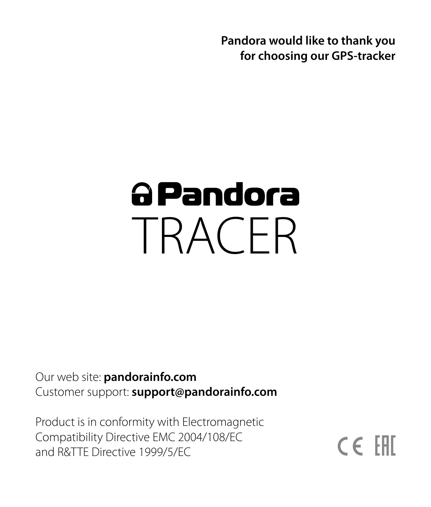**Pandora would like to thank you for choosing our GPS-tracker**

# a Pandora TRACER

Our web site: **pandorainfo.com** Customer support: **support@pandorainfo.com**

Product is in conformity with Electromagnetic Compatibility Directive EMC 2004/108/EC and R&TTE Directive 1999/5/EC

 $C \in \mathbb{H}$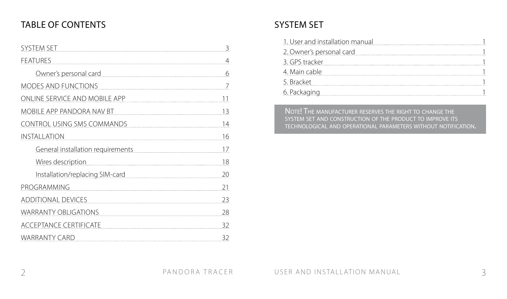# TABLE OF CONTENTS

| SYSTEM SET                        | 3  |
|-----------------------------------|----|
| <b>FEATURES</b>                   | 4  |
| Owner's personal card             | 6  |
| MODES AND FUNCTIONS               | 7  |
| ONLINE SERVICE AND MOBILE APP     | 11 |
| MOBILE APP PANDORA NAV BT         | 13 |
| CONTROL USING SMS COMMANDS        | 14 |
| INSTALLATION                      | 16 |
| General installation requirements | 17 |
| Wires description                 | 18 |
| Installation/replacing SIM-card   | 20 |
| PROGRAMMING                       | 21 |
| <b>ADDITIONAL DEVICES</b>         | 23 |
| <b>WARRANTY OBLIGATIONS</b>       | 28 |
| ACCEPTANCE CERTIFICATE            | 32 |
| WARRANTY CARD                     | 32 |

# SYSTEM SET

| 1. User and installation manual |
|---------------------------------|
| 2. Owner's personal card        |
| 3. GPS tracker                  |
| 4. Main cable                   |
| 5. Bracket                      |
| 6. Packaging                    |

NOTE! THE MANUFACTURER RESERVES THE RIGHT TO CHANGE THE system set and construction of the product to improve its technological and operational parameters without notification.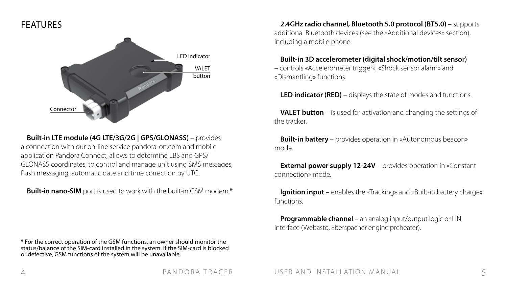# FEATURES



**Built-in LTE module (4G LTE/3G/2G | GPS/GLONASS)** – provides a connection with our on-line service pandora-on.com and mobile application Pandora Connect, allows to determine LBS and GPS/ GLONASS coordinates, to control and manage unit using SMS messages, Push messaging, automatic date and time correction by UTC.

**Built-in nano-SIM** port is used to work with the built-in GSM modem.\*

\* For the correct operation of the GSM functions, an owner should monitor the status/balance of the SIM-card installed in the system. If the SIM-card is blocked or defective, GSM functions of the system will be unavailable.

**2.4GHz radio channel, Bluetooth 5.0 protocol (BT5.0)** – supports additional Bluetooth devices (see the «Additional devices» section), including a mobile phone.

#### **Built-in 3D accelerometer (digital shock/motion/tilt sensor)**

– controls «Accelerometer trigger», «Shock sensor alarm» and «Dismantling» functions.

**LED indicator (RED)** – displays the state of modes and functions.

**VALET button** – is used for activation and changing the settings of the tracker.

**Built-in battery** – provides operation in «Autonomous beacon» mode.

**External power supply 12-24V** – provides operation in «Constant connection» mode.

**Ignition input** – enables the «Tracking» and «Built-in battery charge» functions.

**Programmable channel** – an analog input/output logic or LIN interface (Webasto, Eberspacher engine preheater).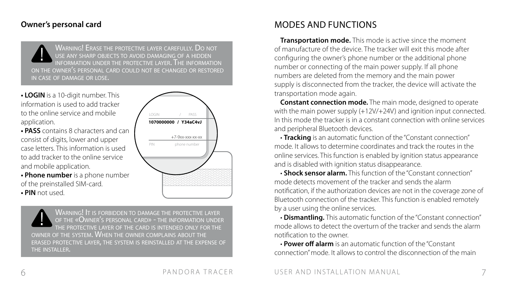## **Owner's personal card**

WARNING! ERASE THE PROTECTIVE LAYER CAREFULLY. DO NOT use any sharp objects to avoid damaging of a hidden information under the protective layer. The information on the owner's personal card could not be changed or restored in case of damage or lose.

- **LOGIN** is a 10-digit number. This information is used to add tracker to the online service and mobile application.
- **PASS** contains 8 characters and can consist of digits, lower and upper case letters. This information is used to add tracker to the online service and mobile application.
- **Phone number** is a phone number of the preinstalled SIM-card. **• PIN** not used.



WARNING! IT IS FORBIDDEN TO DAMAGE THE PROTECTIVE LAYER of the «Owner's personal card» - the information under the protective layer of the card is intended only for the owner of the system. When the owner complains about the erased protective layer, the system is reinstalled at the expense of the installer.

# MODES AND FUNCTIONS

**Transportation mode.** This mode is active since the moment of manufacture of the device. The tracker will exit this mode after configuring the owner's phone number or the additional phone number or connecting of the main power supply. If all phone numbers are deleted from the memory and the main power supply is disconnected from the tracker, the device will activate the transportation mode again.

**Constant connection mode.** The main mode, designed to operate with the main power supply (+12V/+24V) and ignition input connected. In this mode the tracker is in a constant connection with online services and peripheral Bluetooth devices.

**· Tracking** is an automatic function of the "Constant connection" mode. It allows to determine coordinates and track the routes in the online services. This function is enabled by ignition status appearance and is disabled with ignition status disappearance.

**· Shock sensor alarm.** This function of the "Constant connection" mode detects movement of the tracker and sends the alarm notification, if the authorization devices are not in the coverage zone of Bluetooth connection of the tracker. This function is enabled remotely by a user using the online services.

**· Dismantling.** This automatic function of the "Constant connection" mode allows to detect the overturn of the tracker and sends the alarm notification to the owner.

**· Power off alarm** is an automatic function of the "Constant connection" mode. It allows to control the disconnection of the main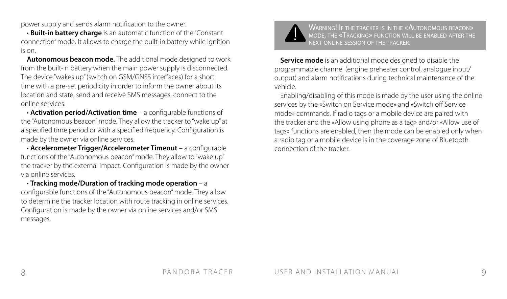power supply and sends alarm notification to the owner.

**· Built-in battery charge** is an automatic function of the "Constant connection" mode. It allows to charge the built-in battery while ignition is on.

**Autonomous beacon mode.** The additional mode designed to work from the built-in battery when the main power supply is disconnected. The device "wakes up" (switch on GSM/GNSS interfaces) for a short time with a pre-set periodicity in order to inform the owner about its location and state, send and receive SMS messages, connect to the online services.

**· Activation period/Activation time** – a configurable functions of the "Autonomous beacon" mode. They allow the tracker to "wake up" at a specified time period or with a specified frequency. Configuration is made by the owner via online services.

**· Accelerometer Trigger/Accelerometer Timeout** – a configurable functions of the "Autonomous beacon" mode. They allow to "wake up" the tracker by the external impact. Configuration is made by the owner via online services.

**· Tracking mode/Duration of tracking mode operation** – a configurable functions of the "Autonomous beacon" mode. They allow to determine the tracker location with route tracking in online services. Configuration is made by the owner via online services and/or SMS messages.



Warning! If the tracker is in the «Autonomous beacon» mode, the «Tracking» function will be enabled after the next online session of the tracker.

**Service mode** is an additional mode designed to disable the programmable channel (engine preheater control, analogue input/ output) and alarm notifications during technical maintenance of the vehicle.

Enabling/disabling of this mode is made by the user using the online services by the «Switch on Service mode» and «Switch off Service mode» commands. If radio tags or a mobile device are paired with the tracker and the «Allow using phone as a tag» and/or «Allow use of tags» functions are enabled, then the mode can be enabled only when a radio tag or a mobile device is in the coverage zone of Bluetooth connection of the tracker.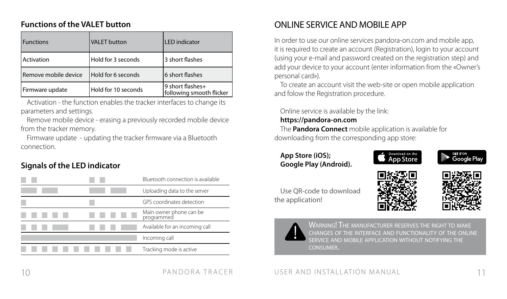## **Functions of the VALET button**

| <b>Functions</b>     | <b>VALET</b> button | <b>LED</b> indicator                         |
|----------------------|---------------------|----------------------------------------------|
| Activation           | Hold for 3 seconds  | 3 short flashes                              |
| Remove mobile device | Hold for 6 seconds  | 6 short flashes                              |
| Firmware update      | Hold for 10 seconds | 9 short flashes+<br>following smooth flicker |

Activation - the function enables the tracker interfaces to change its parameters and settings.

Remove mobile device - erasing a previously recorded mobile device from the tracker memory.

Firmware update - updating the tracker firmware via a Bluetooth connection.

## **Signals of the LED indicator**

|  | Bluetooth connection is available     |
|--|---------------------------------------|
|  | Uploading data to the server          |
|  | GPS coordinates detection             |
|  | Main owner phone can be<br>programmed |
|  | Available for an incoming call        |
|  | Incoming call                         |
|  | Tracking mode is active               |

# ONLINE SERVICE AND MOBILE APP

In order to use our online services pandora-on.com and mobile app, it is required to create an account (Registration), login to your account (using your e-mail and password created on the registration step) and add your device to your account (enter information from the «Owner's personal card»).

To create an account visit the web-site or open mobile application and folow the Registration procedure.

#### Online service is available by the link:

#### **https://pandora-on.com**

The **Pandora Connect** mobile application is available for downloading from the corresponding app store:

#### **App Store (iOS); Google Play (Android).**





Use QR-code to download the application!





WARNING! THE MANUFACTURER RESERVES THE RIGHT TO MAKE changes of the interface and functionality of the online service and mobile application without notifying the consumer.

#### 10 PANDORA TRACER USER AND INSTALLATION MANUAL 11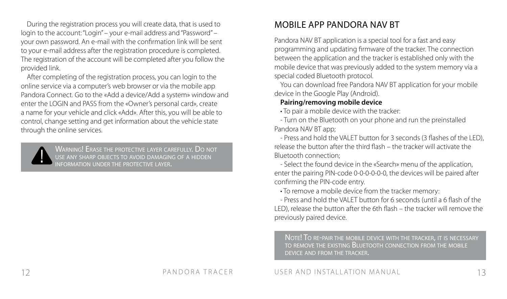During the registration process you will create data, that is used to login to the account: "Login" – your e-mail address and "Password" – your own password. An e-mail with the confirmation link will be sent to your e-mail address after the registration procedure is completed. The registration of the account will be completed after you follow the provided link.

After completing of the registration process, you can login to the online service via a computer's web browser or via the mobile app Pandora Connect. Go to the «Add a device/Add a system» window and enter the LOGIN and PASS from the «Owner's personal card», create a name for your vehicle and click «Add». After this, you will be able to control, change setting and get information about the vehicle state through the online services.



use any sharp objects to avoid damaging of a hidden information under the protective layer.

# MOBILE APP PANDORA NAV BT

Pandora NAV BT application is a special tool for a fast and easy programming and updating firmware of the tracker. The connection between the application and the tracker is established only with the mobile device that was previously added to the system memory via a special coded Bluetooth protocol.

You can download free Pandora NAV BT application for your mobile device in the Google Play (Android).

#### **Pairing/removing mobile device**

• To pair a mobile device with the tracker:

- Turn on the Bluetooth on your phone and run the preinstalled Pandora NAV BT app;

- Press and hold the VALET button for 3 seconds (3 flashes of the LED), release the button after the third flash – the tracker will activate the Bluetooth connection;

- Select the found device in the «Search» menu of the application, enter the pairing PIN-code 0-0-0-0-0-0, the devices will be paired after confirming the PIN-code entry.

• To remove a mobile device from the tracker memory:

- Press and hold the VALET button for 6 seconds (until a 6 flash of the LED), release the button after the 6th flash – the tracker will remove the previously paired device.

Note! To re-pair the mobile device with the tracker, it is necessary to remove the existing Bluetooth connection from the mobile device and from the tracker.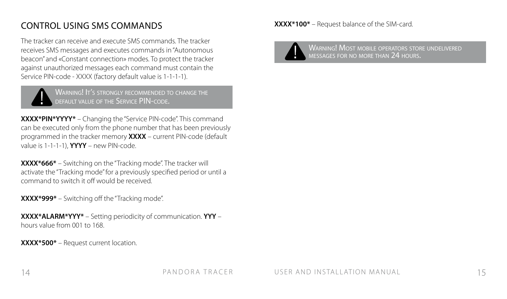# CONTROL USING SMS COMMANDS

The tracker can receive and execute SMS commands. The tracker receives SMS messages and executes commands in "Autonomous beacon" and «Constant connection» modes. To protect the tracker against unauthorized messages each command must contain the Service PIN-code - ХХХХ (factory default value is 1-1-1-1).



WARNING! It's STRONGLY RECOMMENDED TO CHANGE THE default value of the Service PIN-code.

**ХХХХ\*PIN\*YYYY\*** – Changing the "Service PIN-code". This command can be executed only from the phone number that has been previously programmed in the tracker memory **ХХХХ** – current PIN-code (default value is 1-1-1-1), **YYYY** – new PIN-code.

**XXXX\*666\*** – Switching on the "Tracking mode". The tracker will activate the "Tracking mode" for a previously specified period or until a command to switch it off would be received.

**ХХХХ\*999\*** – Switching off the "Tracking mode".

**ХХХХ\*ALARM\*YYY\*** – Setting periodicity of communication. **YYY** – hours value from 001 to 168.

**ХХХХ\*500\*** – Request current location.

#### **ХХХХ\*100\*** – Request balance of the SIM-card.



Warning! Most mobile operators store undelivered messages for no more than 24 hours.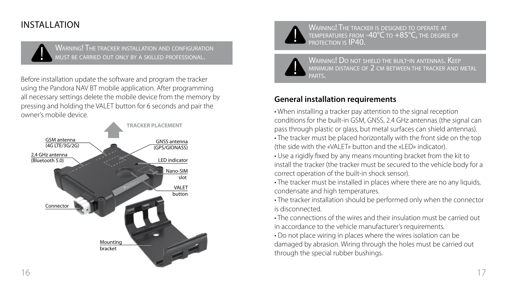# INSTALLATION



Warning! The tracker installation and configuration must be carried out only by <sup>a</sup> skilled professional.

Before installation update the software and program the tracker using the Pandora NAV BT mobile application. After programming all necessary settings delete the mobile device from the memory by pressing and holding the VALET button for 6 seconds and pair the owner's mobile device.





WARNING! THE TRACKER IS DESIGNED TO OPERATE AT TEMPERATURES FROM  $-40^{\circ}$ C to  $+85^{\circ}$ C, the degree of protection is IP40.

Warning! Do not shield the built-in antennas. Keep minimum distance of 2 cm between the tracker and metal parts.

## **General installation requirements**

• When installing a tracker pay attention to the signal reception conditions for the built-in GSM, GNSS, 2.4 GHz antennas (the signal can pass through plastic or glass, but metal surfaces can shield antennas).

- The tracker must be placed horizontally with the front side on the top (the side with the «VALET» button and the «LED» indicator).
- Use a rigidly fixed by any means mounting bracket from the kit to install the tracker (the tracker must be secured to the vehicle body for a correct operation of the built-in shock sensor).
- The tracker must be installed in places where there are no any liquids, condensate and high temperatures.
- The tracker installation should be performed only when the connector is disconnected.
- The connections of the wires and their insulation must be carried out in accordance to the vehicle manufacturer's requirements.
- Do not place wiring in places where the wires isolation can be damaged by abrasion. Wiring through the holes must be carried out through the special rubber bushings.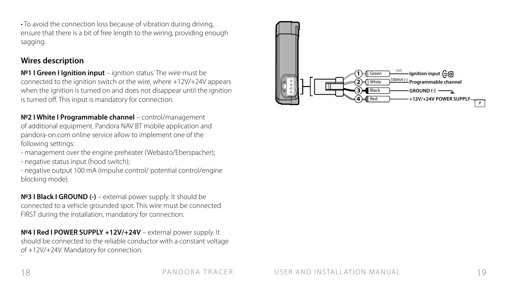• To avoid the connection loss because of vibration during driving, ensure that there is a bit of free length to the wiring, providing enough sagging.

## **Wires description**

**№1 I Green I Ignition input** – ignition status. The wire must be connected to the ignition switch or the wire, where +12V/+24V appears when the ignition is turned on and does not disappear until the ignition is turned off. This input is mandatory for connection.

**№2 I White I Programmable channel** – control/management of additional equipment. Pandora NAV BT mobile application and pandora-on.com online service allow to implement one of the following settings:

- management over the engine preheater (Webasto/Eberspacher);
- negative status input (hood switch);

- negative output 100 mA (impulse control/ potential control/engine blocking mode).

**№3 I Black I GROUND (-)** – external power supply. It should be connected to a vehicle grounded spot. This wire must be connected FIRST during the installation, mandatory for connection.

**№4 I Red I POWER SUPPLY +12V/+24V** – external power supply. It should be connected to the reliable conductor with a constant voltage of +12V/+24V. Mandatory for connection.

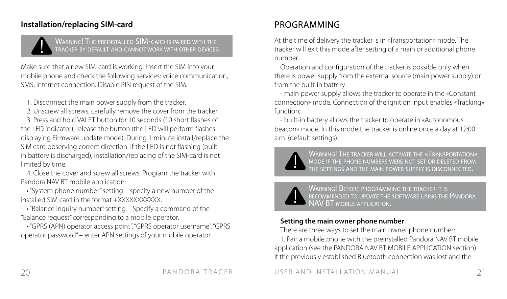## **Installation/replacing SIM-card**

Warning! The preinstalled SIM-card is paired with the tracker by default and cannot work with other devices.

Make sure that a new SIM-card is working. Insert the SIM into your mobile phone and check the following services: voice communication, SMS, internet connection. Disable PIN request of the SIM.

1. Disconnect the main power supply from the tracker.

2. Unscrew all screws, carefully remove the cover from the tracker.

3. Press and hold VALET button for 10 seconds (10 short flashes of the LED indicator), release the button (the LED will perform flashes displaying Firmware update mode). During 1 minute install/replace the SIM card observing correct direction. If the LED is not flashing (builtin battery is discharged), installation/replacing of the SIM-card is not limited by time.

4. Close the cover and screw all screws. Program the tracker with Pandora NAV BT mobile application:

• "System phone number" setting – specify a new number of the installed SIM card in the format +XXXXXXXXXXX

• "Balance inquiry number" setting – Specify a command of the "Balance request" corresponding to a mobile operator.

• "GPRS (APN) operator access point", "GPRS operator username", "GPRS operator password" – enter APN settings of your mobile operator.

# PROGRAMMING

At the time of delivery the tracker is in «Transportation» mode. The tracker will exit this mode after setting of a main or additional phone number.

Operation and configuration of the tracker is possible only when there is power supply from the external source (main power supply) or from the built-in battery:

- main power supply allows the tracker to operate in the «Constant connection» mode. Connection of the ignition input enables «Tracking» function;

- built-in battery allows the tracker to operate in «Autonomous beacon» mode. In this mode the tracker is online once a day at 12:00 a.m. (default settings).



Warning! The tracker will activate the «Transportation» mode if the phone numbers were not set or deleted from the settings and the main power supply is disconnected.



WARNING! BEFORE PROGRAMMING THE TRACKER IT IS recommended to update the software using the Pandora NAV BT MOBILE APPLICATION.

#### **Setting the main owner phone number**

There are three ways to set the main owner phone number: 1. Pair a mobile phone with the preinstalled Pandora NAV BT mobile application (see the PANDORA NAV BT MOBILE APPLICATION section). If the previously established Bluetooth connection was lost and the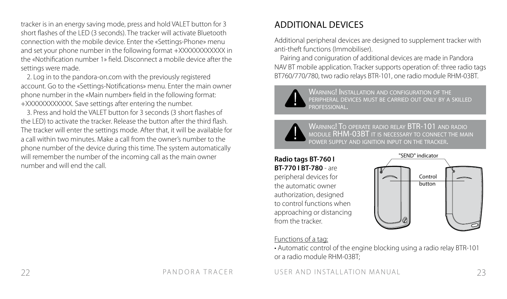tracker is in an energy saving mode, press and hold VALET button for 3 short flashes of the LED (3 seconds). The tracker will activate Bluetooth connection with the mobile device. Enter the «Settings-Phone» menu and set your phone number in the following format +XXXXXXXXXXXXX in the «Nothification number 1» field. Disconnect a mobile device after the settings were made.

2. Log in to the pandora-on.com with the previously registered account. Go to the «Settings-Notifications» menu. Enter the main owner phone number in the «Main number» field in the following format: +XXXXXXXXXXXX. Save settings after entering the number.

3. Press and hold the VALET button for 3 seconds (3 short flashes of the LED) to activate the tracker. Release the button after the third flash. The tracker will enter the settings mode. After that, it will be available for a call within two minutes. Make a call from the owner's number to the phone number of the device during this time. The system automatically will remember the number of the incoming call as the main owner number and will end the call.

## ADDITIONAL DEVICES

Additional peripheral devices are designed to supplement tracker with anti-theft functions (Immobiliser).

Pairing and coniguration of additional devices are made in Pandora NAV BT mobile application. Tracker supports operation of: three radio tags BT760/770/780, two radio relays BTR-101, one radio module RHM-03BT.

> WARNING! INSTALLATION AND CONFIGURATION OF THE peripheral devices must be carried out only by a skilled professional.

> Warning! To operate radio relay BTR-101 and radio<br>module RHM-03BT it is necessary to connect the mai power supply and ignition input on the tracker.

## **Radio tags BT-760 I BT-770 I BT-780** - are

peripheral devices for the automatic owner authorization, designed to control functions when approaching or distancing from the tracker.



#### Functions of a tag:

• Automatic control of the engine blocking using a radio relay BTR-101 or a radio module RHM-03BT;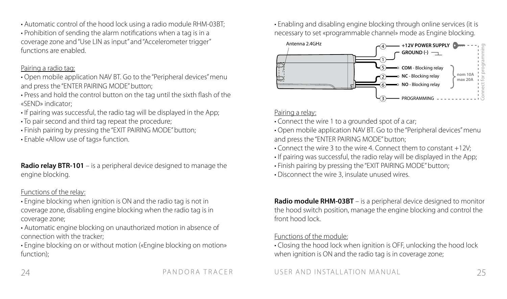• Automatic control of the hood lock using a radio module RHM-03BT;

• Prohibition of sending the alarm notifications when a tag is in a coverage zone and "Use LIN as input" and "Accelerometer trigger" functions are enabled.

#### Pairing a radio tag:

- Open mobile application NAV BT. Go to the "Peripheral devices" menu and press the "ENTER PAIRING MODE" button;
- Press and hold the control button on the tag until the sixth flash of the «SEND» indicator;
- If pairing was successful, the radio tag will be displayed in the App;
- To pair second and third tag repeat the procedure;
- Finish pairing by pressing the "EXIT PAIRING MODE" button;
- Enable «Allow use of tags» function.

**Radio relay BTR-101** – is a peripheral device designed to manage the engine blocking.

## Functions of the relay:

• Engine blocking when ignition is ON and the radio tag is not in coverage zone, disabling engine blocking when the radio tag is in coverage zone;

• Automatic engine blocking on unauthorized motion in absence of connection with the tracker;

• Engine blocking on or without motion («Engine blocking on motion» function);

• Enabling and disabling engine blocking through online services (it is necessary to set «programmable channel» mode as Engine blocking.



#### Pairing a relay:

• Connect the wire 1 to a grounded spot of a car;

• Open mobile application NAV BT. Go to the "Peripheral devices" menu and press the "ENTER PAIRING MODE" button;

- Connect the wire 3 to the wire 4. Connect them to constant +12V;
- If pairing was successful, the radio relay will be displayed in the App;
- Finish pairing by pressing the "EXIT PAIRING MODE" button;
- Disconnect the wire 3, insulate unused wires.

**Radio module RHM-03BT** – is a peripheral device designed to monitor the hood switch position, manage the engine blocking and control the front hood lock.

## Functions of the module:

• Closing the hood lock when ignition is OFF, unlocking the hood lock when ignition is ON and the radio tag is in coverage zone;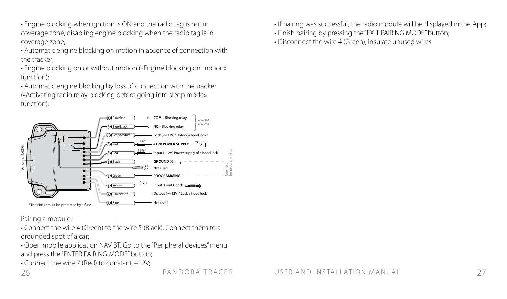• Engine blocking when ignition is ON and the radio tag is not in coverage zone, disabling engine blocking when the radio tag is in coverage zone;

• Automatic engine blocking on motion in absence of connection with the tracker;

• Engine blocking on or without motion («Engine blocking on motion» function);

• Automatic engine blocking by loss of connection with the tracker («Activating radio relay blocking before going into sleep mode» function).



#### Pairing a module:

• Connect the wire 4 (Green) to the wire 5 (Black). Connect them to a grounded spot of a car;

• Open mobile application NAV BT. Go to the "Peripheral devices" menu and press the "ENTER PAIRING MODE" button;

• Connect the wire 7 (Red) to constant +12V;

• If pairing was successful, the radio module will be displayed in the App;

- Finish pairing by pressing the "EXIT PAIRING MODE" button;
- Disconnect the wire 4 (Green), insulate unused wires.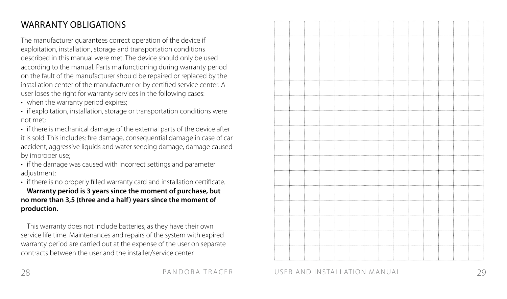# WARRANTY OBLIGATIONS

The manufacturer guarantees correct operation of the device if exploitation, installation, storage and transportation conditions described in this manual were met. The device should only be used according to the manual. Parts malfunctioning during warranty period on the fault of the manufacturer should be repaired or replaced by the installation center of the manufacturer or by certified service center. A user loses the right for warranty services in the following cases:

- 
- when the warranty period expires;<br>• if exploitation, installation, storage or transportation conditions were not met;<br>• if there is mechanical damage of the external parts of the device after
- it is sold. This includes: fire damage, consequential damage in case of car accident, aggressive liquids and water seeping damage, damage caused by improper use;<br>• if the damage was caused with incorrect settings and parameter
- 
- adjustment;<br>• if there is no properly filled warranty card and installation certificate.

**Warranty period is 3 years since the moment of purchase, but no more than 3,5 (three and a half) years since the moment of production.**

This warranty does not include batteries, as they have their own service life time. Maintenances and repairs of the system with expired warranty period are carried out at the expense of the user on separate contracts between the user and the installer/service center.

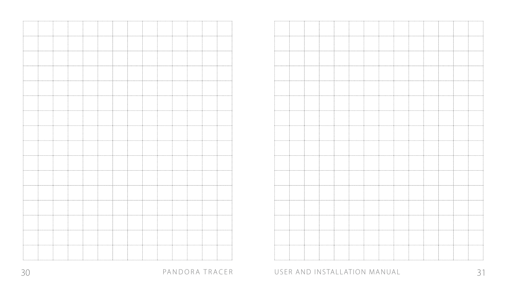PANDORA TRACER USER AND INSTALLATION MANUAL 31